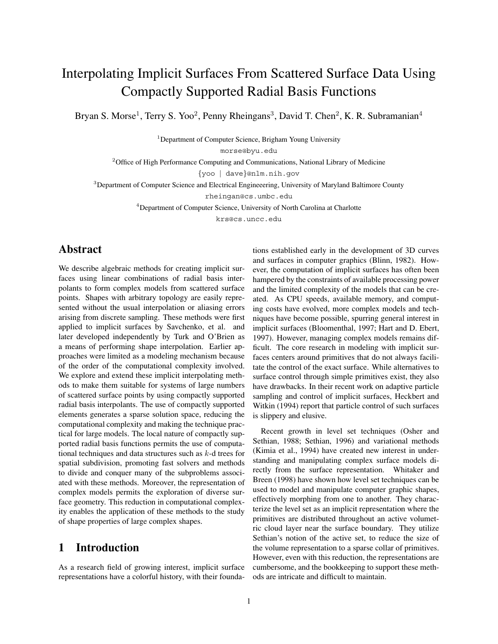# Interpolating Implicit Surfaces From Scattered Surface Data Using Compactly Supported Radial Basis Functions

Bryan S. Morse<sup>1</sup>, Terry S. Yoo<sup>2</sup>, Penny Rheingans<sup>3</sup>, David T. Chen<sup>2</sup>, K. R. Subramanian<sup>4</sup>

<sup>1</sup>Department of Computer Science, Brigham Young University

morse@byu.edu

<sup>2</sup>Office of High Performance Computing and Communications, National Library of Medicine

{yoo | dave}@nlm.nih.gov

<sup>3</sup>Department of Computer Science and Electrical Engineeering, University of Maryland Baltimore County

rheingan@cs.umbc.edu

<sup>4</sup>Department of Computer Science, University of North Carolina at Charlotte

krs@cs.uncc.edu

### **Abstract**

We describe algebraic methods for creating implicit surfaces using linear combinations of radial basis interpolants to form complex models from scattered surface points. Shapes with arbitrary topology are easily represented without the usual interpolation or aliasing errors arising from discrete sampling. These methods were first applied to implicit surfaces by Savchenko, et al. and later developed independently by Turk and O'Brien as a means of performing shape interpolation. Earlier approaches were limited as a modeling mechanism because of the order of the computational complexity involved. We explore and extend these implicit interpolating methods to make them suitable for systems of large numbers of scattered surface points by using compactly supported radial basis interpolants. The use of compactly supported elements generates a sparse solution space, reducing the computational complexity and making the technique practical for large models. The local nature of compactly supported radial basis functions permits the use of computational techniques and data structures such as k-d trees for spatial subdivision, promoting fast solvers and methods to divide and conquer many of the subproblems associated with these methods. Moreover, the representation of complex models permits the exploration of diverse surface geometry. This reduction in computational complexity enables the application of these methods to the study of shape properties of large complex shapes.

### **1 Introduction**

As a research field of growing interest, implicit surface representations have a colorful history, with their foundations established early in the development of 3D curves and surfaces in computer graphics (Blinn, 1982). However, the computation of implicit surfaces has often been hampered by the constraints of available processing power and the limited complexity of the models that can be created. As CPU speeds, available memory, and computing costs have evolved, more complex models and techniques have become possible, spurring general interest in implicit surfaces (Bloomenthal, 1997; Hart and D. Ebert, 1997). However, managing complex models remains difficult. The core research in modeling with implicit surfaces centers around primitives that do not always facilitate the control of the exact surface. While alternatives to surface control through simple primitives exist, they also have drawbacks. In their recent work on adaptive particle sampling and control of implicit surfaces, Heckbert and Witkin (1994) report that particle control of such surfaces is slippery and elusive.

Recent growth in level set techniques (Osher and Sethian, 1988; Sethian, 1996) and variational methods (Kimia et al., 1994) have created new interest in understanding and manipulating complex surface models directly from the surface representation. Whitaker and Breen (1998) have shown how level set techniques can be used to model and manipulate computer graphic shapes, effectively morphing from one to another. They characterize the level set as an implicit representation where the primitives are distributed throughout an active volumetric cloud layer near the surface boundary. They utilize Sethian's notion of the active set, to reduce the size of the volume representation to a sparse collar of primitives. However, even with this reduction, the representations are cumbersome, and the bookkeeping to support these methods are intricate and difficult to maintain.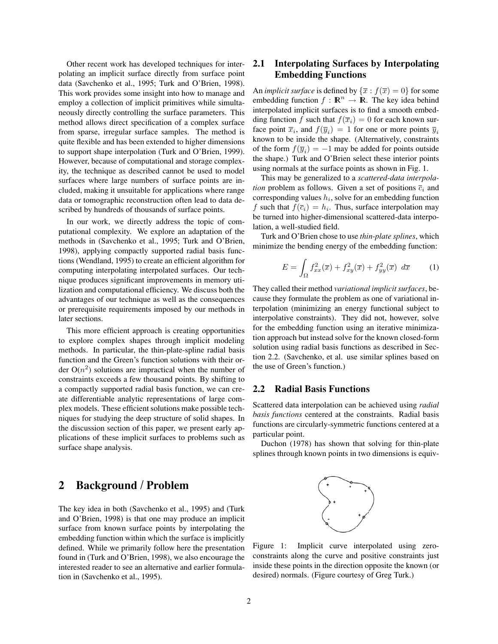Other recent work has developed techniques for interpolating an implicit surface directly from surface point data (Savchenko et al., 1995; Turk and O'Brien, 1998). This work provides some insight into how to manage and employ a collection of implicit primitives while simultaneously directly controlling the surface parameters. This method allows direct specification of a complex surface from sparse, irregular surface samples. The method is quite flexible and has been extended to higher dimensions to support shape interpolation (Turk and O'Brien, 1999). However, because of computational and storage complexity, the technique as described cannot be used to model surfaces where large numbers of surface points are included, making it unsuitable for applications where range data or tomographic reconstruction often lead to data described by hundreds of thousands of surface points.

In our work, we directly address the topic of computational complexity. We explore an adaptation of the methods in (Savchenko et al., 1995; Turk and O'Brien, 1998), applying compactly supported radial basis functions (Wendland, 1995) to create an efficient algorithm for computing interpolating interpolated surfaces. Our technique produces significant improvements in memory utilization and computational efficiency. We discuss both the advantages of our technique as well as the consequences or prerequisite requirements imposed by our methods in later sections.

This more efficient approach is creating opportunities to explore complex shapes through implicit modeling methods. In particular, the thin-plate-spline radial basis function and the Green's function solutions with their order  $O(n^2)$  solutions are impractical when the number of constraints exceeds a few thousand points. By shifting to a compactly supported radial basis function, we can create differentiable analytic representations of large complex models. These efficient solutions make possible techniques for studying the deep structure of solid shapes. In the discussion section of this paper, we present early applications of these implicit surfaces to problems such as surface shape analysis.

### **2 Background / Problem**

The key idea in both (Savchenko et al., 1995) and (Turk and O'Brien, 1998) is that one may produce an implicit surface from known surface points by interpolating the embedding function within which the surface is implicitly defined. While we primarily follow here the presentation found in (Turk and O'Brien, 1998), we also encourage the interested reader to see an alternative and earlier formulation in (Savchenko et al., 1995).

### **2.1 Interpolating Surfaces by Interpolating Embedding Functions**

An *implicit surface* is defined by  $\{\overline{x} : f(\overline{x})=0\}$  for some embedding function  $f : \mathbb{R}^n \to \mathbb{R}$ . The key idea behind interpolated implicit surfaces is to find a smooth embedding function f such that  $f(\overline{x}_i)=0$  for each known surface point  $\overline{x}_i$ , and  $f(\overline{y}_i)=1$  for one or more points  $\overline{y}_i$ known to be inside the shape. (Alternatively, constraints of the form  $f(\overline{y}_i) = -1$  may be added for points outside the shape.) Turk and O'Brien select these interior points using normals at the surface points as shown in Fig. 1.

This may be generalized to a *scattered-data interpolation* problem as follows. Given a set of positions  $\overline{c}_i$  and corresponding values  $h_i$ , solve for an embedding function f such that  $f(\overline{c}_i) = h_i$ . Thus, surface interpolation may be turned into higher-dimensional scattered-data interpolation, a well-studied field.

Turk and O'Brien chose to use *thin-plate splines*, which minimize the bending energy of the embedding function:

$$
E = \int_{\Omega} f_{xx}^2(\overline{x}) + f_{xy}^2(\overline{x}) + f_{yy}^2(\overline{x}) d\overline{x}
$$
 (1)

They called their method *variational implicit surfaces*, because they formulate the problem as one of variational interpolation (minimizing an energy functional subject to interpolative constraints). They did not, however, solve for the embedding function using an iterative minimization approach but instead solve for the known closed-form solution using radial basis functions as described in Section 2.2. (Savchenko, et al. use similar splines based on the use of Green's function.)

#### **2.2 Radial Basis Functions**

Scattered data interpolation can be achieved using *radial basis functions* centered at the constraints. Radial basis functions are circularly-symmetric functions centered at a particular point.

Duchon (1978) has shown that solving for thin-plate splines through known points in two dimensions is equiv-



Figure 1: Implicit curve interpolated using zeroconstraints along the curve and positive constraints just inside these points in the direction opposite the known (or desired) normals. (Figure courtesy of Greg Turk.)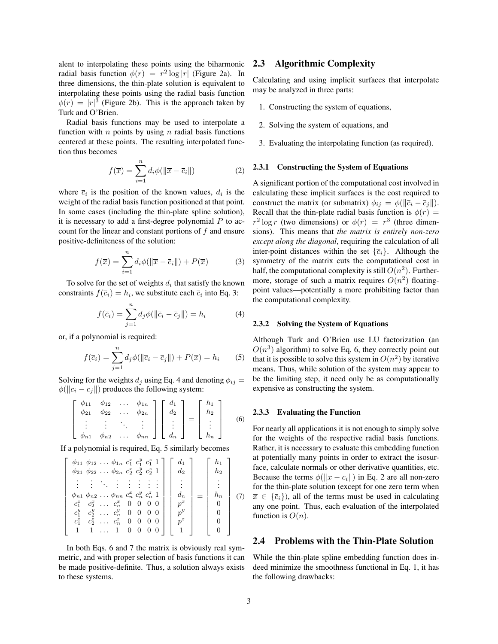alent to interpolating these points using the biharmonic radial basis function  $\phi(r) = r^2 \log |r|$  (Figure 2a). In three dimensions, the thin-plate solution is equivalent to interpolating these points using the radial basis function  $\phi(r) = |r|^3$  (Figure 2b). This is the approach taken by Turk and O'Brien.

Radial basis functions may be used to interpolate a function with *n* points by using *n* radial basis functions centered at these points. The resulting interpolated function thus becomes

$$
f(\overline{x}) = \sum_{i=1}^{n} d_i \phi(||\overline{x} - \overline{c}_i||)
$$
 (2)

where  $\overline{c}_i$  is the position of the known values,  $d_i$  is the weight of the radial basis function positioned at that point. In some cases (including the thin-plate spline solution), it is necessary to add a first-degree polynomial  $P$  to account for the linear and constant portions of  $f$  and ensure positive-definiteness of the solution:

$$
f(\overline{x}) = \sum_{i=1}^{n} d_i \phi(||\overline{x} - \overline{c}_i||) + P(\overline{x})
$$
 (3)

To solve for the set of weights  $d_i$  that satisfy the known constraints  $f(\overline{c}_i) = h_i$ , we substitute each  $\overline{c}_i$  into Eq. 3:

$$
f(\overline{c}_i) = \sum_{j=1}^{n} d_j \phi(||\overline{c}_i - \overline{c}_j||) = h_i
$$
 (4)

or, if a polynomial is required:

$$
f(\overline{c}_i) = \sum_{j=1}^n d_j \phi(||\overline{c}_i - \overline{c}_j||) + P(\overline{x}) = h_i \qquad (5)
$$

Solving for the weights  $d_j$  using Eq. 4 and denoting  $\phi_{ij} =$  $\phi(||\overline{c}_i - \overline{c}_j||)$  produces the following system:

$$
\begin{bmatrix}\n\phi_{11} & \phi_{12} & \dots & \phi_{1n} \\
\phi_{21} & \phi_{22} & \dots & \phi_{2n} \\
\vdots & \vdots & \ddots & \vdots \\
\phi_{n1} & \phi_{n2} & \dots & \phi_{nn}\n\end{bmatrix}\n\begin{bmatrix}\nd_1 \\
d_2 \\
\vdots \\
d_n\n\end{bmatrix} =\n\begin{bmatrix}\nh_1 \\
h_2 \\
\vdots \\
h_n\n\end{bmatrix}
$$
\n(6)

If a polynomial is required, Eq. 5 similarly becomes

$$
\begin{bmatrix}\n\phi_{11} & \phi_{12} & \dots & \phi_{1n} & c_1^x & c_1^y & c_1^z & 1 \\
\phi_{21} & \phi_{22} & \dots & \phi_{2n} & c_2^x & c_2^y & c_2^z & 1 \\
\vdots & \vdots & \ddots & \vdots & \vdots & \vdots & \vdots & \vdots \\
\phi_{n1} & \phi_{n2} & \dots & \phi_{nn} & c_n^x & c_n^y & c_n^z & 1 \\
c_1^x & c_2^x & \dots & c_n^x & 0 & 0 & 0 & 0 \\
c_1^y & c_2^y & \dots & c_n^y & 0 & 0 & 0 & 0 \\
c_1^z & c_2^z & \dots & c_n^z & 0 & 0 & 0 & 0 \\
c_1^z & c_2^z & \dots & c_n^z & 0 & 0 & 0 & 0 \\
1 & 1 & \dots & 1 & 0 & 0 & 0 & 0\n\end{bmatrix}\n\begin{bmatrix}\nh_1 \\
d_2 \\
\vdots \\
h_n \\
h_n \\
p^x \\
p^z \\
0\n\end{bmatrix} =\n\begin{bmatrix}\nh_1 \\
h_2 \\
\vdots \\
h_n \\
0 \\
0 \\
0\n\end{bmatrix} (7)
$$

In both Eqs. 6 and 7 the matrix is obviously real symmetric, and with proper selection of basis functions it can be made positive-definite. Thus, a solution always exists to these systems.

#### **2.3 Algorithmic Complexity**

Calculating and using implicit surfaces that interpolate may be analyzed in three parts:

- 1. Constructing the system of equations,
- 2. Solving the system of equations, and
- 3. Evaluating the interpolating function (as required).

#### **2.3.1 Constructing the System of Equations**

A significant portion of the computational cost involved in calculating these implicit surfaces is the cost required to construct the matrix (or submatrix)  $\phi_{ij} = \phi(||\overline{c}_i - \overline{c}_j||)$ . Recall that the thin-plate radial basis function is  $\phi(r)$  =  $r^2 \log r$  (two dimensions) or  $\phi(r) = r^3$  (three dimensions). This means that *the matrix is entirely non-zero except along the diagonal*, requiring the calculation of all inter-point distances within the set  $\{\overline{c}_i\}$ . Although the symmetry of the matrix cuts the computational cost in half, the computational complexity is still  $O(n^2)$ . Furthermore, storage of such a matrix requires  $O(n^2)$  floatingpoint values—potentially a more prohibiting factor than the computational complexity.

#### **2.3.2 Solving the System of Equations**

Although Turk and O'Brien use LU factorization (an  $O(n^3)$  algorithm) to solve Eq. 6, they correctly point out that it is possible to solve this system in  $O(n^2)$  by iterative means. Thus, while solution of the system may appear to be the limiting step, it need only be as computationally expensive as constructing the system.

#### **2.3.3 Evaluating the Function**

For nearly all applications it is not enough to simply solve for the weights of the respective radial basis functions. Rather, it is necessary to evaluate this embedding function at potentially many points in order to extract the isosurface, calculate normals or other derivative quantities, etc. Because the terms  $\phi(||\overline{x} - \overline{c_i}||)$  in Eq. 2 are all non-zero for the thin-plate solution (except for one zero term when  $\overline{x} \in {\overline{c_i}}$ , all of the terms must be used in calculating any one point. Thus, each evaluation of the interpolated function is  $O(n)$ .

#### **2.4 Problems with the Thin-Plate Solution**

While the thin-plate spline embedding function does indeed minimize the smoothness functional in Eq. 1, it has the following drawbacks: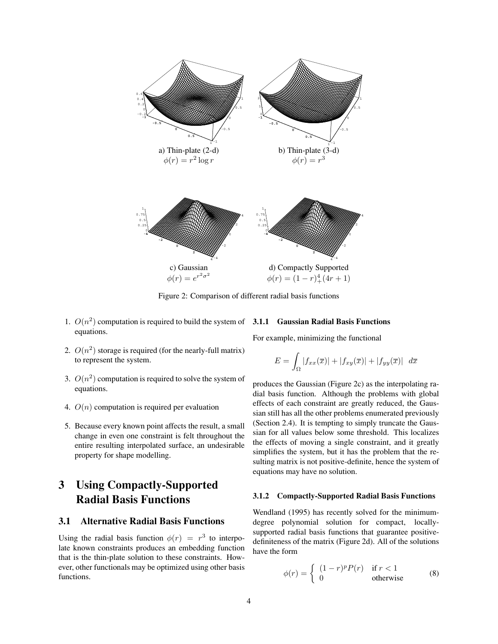

Figure 2: Comparison of different radial basis functions

- 1.  $O(n^2)$  computation is required to build the system of  $3.1.1$  Gaussian Radial Basis Functions equations.
- 2.  $O(n^2)$  storage is required (for the nearly-full matrix) to represent the system.
- 3.  $O(n^2)$  computation is required to solve the system of equations.
- 4.  $O(n)$  computation is required per evaluation
- 5. Because every known point affects the result, a small change in even one constraint is felt throughout the entire resulting interpolated surface, an undesirable property for shape modelling.

### **3 Using Compactly-Supported Radial Basis Functions**

### **3.1 Alternative Radial Basis Functions**

Using the radial basis function  $\phi(r) = r^3$  to interpolate known constraints produces an embedding function that is the thin-plate solution to these constraints. However, other functionals may be optimized using other basis functions.

For example, minimizing the functional

$$
E = \int_{\Omega} |f_{xx}(\overline{x})| + |f_{xy}(\overline{x})| + |f_{yy}(\overline{x})| d\overline{x}
$$

produces the Gaussian (Figure 2c) as the interpolating radial basis function. Although the problems with global effects of each constraint are greatly reduced, the Gaussian still has all the other problems enumerated previously (Section 2.4). It is tempting to simply truncate the Gaussian for all values below some threshold. This localizes the effects of moving a single constraint, and it greatly simplifies the system, but it has the problem that the resulting matrix is not positive-definite, hence the system of equations may have no solution.

#### **3.1.2 Compactly-Supported Radial Basis Functions**

Wendland (1995) has recently solved for the minimumdegree polynomial solution for compact, locallysupported radial basis functions that guarantee positivedefiniteness of the matrix (Figure 2d). All of the solutions have the form

$$
\phi(r) = \begin{cases} (1-r)^p P(r) & \text{if } r < 1\\ 0 & \text{otherwise} \end{cases}
$$
 (8)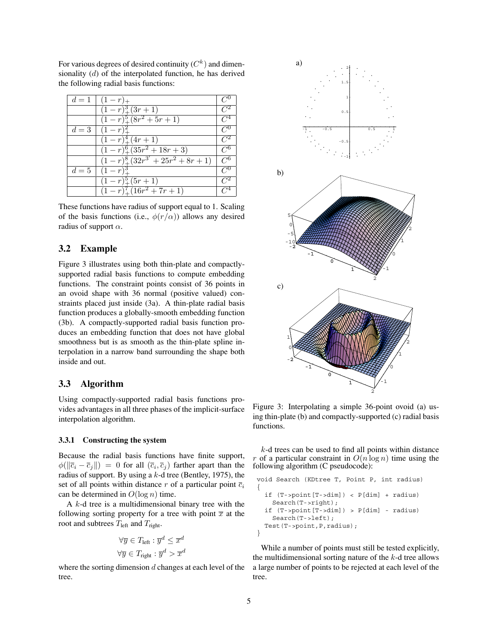For various degrees of desired continuity  $(C^k)$  and dimensionality (d) of the interpolated function, he has derived the following radial basis functions:

|       | $d=1+(1-r)_{+}$                         |       |
|-------|-----------------------------------------|-------|
|       | $(1-r)^3_{+}(3r+1)$                     |       |
|       | $(1-r)^5_{+}(8r^2+5r+1)$                | $C^4$ |
| $d=3$ | $(1 - r)^{r}$                           | 7″ ⁄  |
|       | $(1-r)_+^4(4r+1)$                       | $C^2$ |
|       | $\sqrt{(1-r)^6 + (35r^2 + 18r + 3)}$    | 7″ ⁄  |
|       | $(1-r)^8 + (32r^{3'} + 25r^2 + 8r + 1)$ | $C^6$ |
| $d=5$ | $(1-r)^3$                               | $C^0$ |
|       | $(1-r)_{+}^{5}(5r+1)$                   |       |
|       | $\sqrt{(1-r)^7+(16r^2+7r+1)}$           |       |

These functions have radius of support equal to 1. Scaling of the basis functions (i.e.,  $\phi(r/\alpha)$ ) allows any desired radius of support  $\alpha$ .

#### **3.2 Example**

Figure 3 illustrates using both thin-plate and compactlysupported radial basis functions to compute embedding functions. The constraint points consist of 36 points in an ovoid shape with 36 normal (positive valued) constraints placed just inside (3a). A thin-plate radial basis function produces a globally-smooth embedding function (3b). A compactly-supported radial basis function produces an embedding function that does not have global smoothness but is as smooth as the thin-plate spline interpolation in a narrow band surrounding the shape both inside and out.

#### **3.3 Algorithm**

Using compactly-supported radial basis functions provides advantages in all three phases of the implicit-surface interpolation algorithm.

#### **3.3.1 Constructing the system**

Because the radial basis functions have finite support,  $\phi(||\overline{c}_i - \overline{c}_j||) = 0$  for all  $(\overline{c}_i, \overline{c}_j)$  farther apart than the radius of support. By using a  $k$ -d tree (Bentley, 1975), the set of all points within distance r of a particular point  $\overline{c}_i$ can be determined in  $O(\log n)$  time.

A k-d tree is a multidimensional binary tree with the following sorting property for a tree with point  $\overline{x}$  at the root and subtrees  $T_{\text{left}}$  and  $T_{\text{right}}$ .

$$
\forall \overline{y} \in T_{\text{left}} : \overline{y}^d \le \overline{x}^d
$$

$$
\forall \overline{y} \in T_{\text{right}} : \overline{y}^d > \overline{x}^d
$$

where the sorting dimension  $d$  changes at each level of the tree.



Figure 3: Interpolating a simple 36-point ovoid (a) using thin-plate (b) and compactly-supported (c) radial basis functions.

 $k$ -d trees can be used to find all points within distance r of a particular constraint in  $O(n \log n)$  time using the following algorithm (C pseudocode):

```
void Search (KDtree T, Point P, int radius)
{
 if (T->point[T->dim]) < P[dim] + radius)
   Search(T->right);
  if (T->point[T->dim]) > P[dim] - radius)
   Search(T->left);
 Test(T->point,P,radius);
}
```
While a number of points must still be tested explicitly, the multidimensional sorting nature of the  $k$ -d tree allows a large number of points to be rejected at each level of the tree.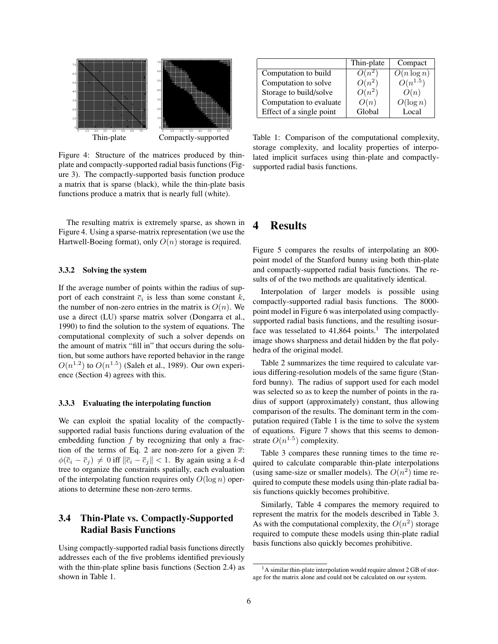

Figure 4: Structure of the matrices produced by thinplate and compactly-supported radial basis functions (Figure 3). The compactly-supported basis function produce a matrix that is sparse (black), while the thin-plate basis functions produce a matrix that is nearly full (white).

The resulting matrix is extremely sparse, as shown in Figure 4. Using a sparse-matrix representation (we use the Hartwell-Boeing format), only  $O(n)$  storage is required.

#### **3.3.2 Solving the system**

If the average number of points within the radius of support of each constraint  $\overline{c}_i$  is less than some constant k, the number of non-zero entries in the matrix is  $O(n)$ . We use a direct (LU) sparse matrix solver (Dongarra et al., 1990) to find the solution to the system of equations. The computational complexity of such a solver depends on the amount of matrix "fill in" that occurs during the solution, but some authors have reported behavior in the range  $O(n^{1.2})$  to  $O(n^{1.5})$  (Saleh et al., 1989). Our own experience (Section 4) agrees with this.

#### **3.3.3 Evaluating the interpolating function**

We can exploit the spatial locality of the compactlysupported radial basis functions during evaluation of the embedding function  $f$  by recognizing that only a fraction of the terms of Eq. 2 are non-zero for a given  $\overline{x}$ :  $\phi(\overline{c}_i - \overline{c}_j) \neq 0$  iff  $\|\overline{c}_i - \overline{c}_j\| < 1$ . By again using a k-d tree to organize the constraints spatially, each evaluation of the interpolating function requires only  $O(\log n)$  operations to determine these non-zero terms.

### **3.4 Thin-Plate vs. Compactly-Supported Radial Basis Functions**

Using compactly-supported radial basis functions directly addresses each of the five problems identified previously with the thin-plate spline basis functions (Section 2.4) as shown in Table 1.

|                          | Thin-plate | Compact                  |
|--------------------------|------------|--------------------------|
| Computation to build     | $O(n^2)$   | $\overline{O}(n \log n)$ |
| Computation to solve     | $O(n^2)$   | $O(n^{1.5})$             |
| Storage to build/solve   | $O(n^2)$   | O(n)                     |
| Computation to evaluate  | O(n)       | $O(\log n)$              |
| Effect of a single point | Global     | Local                    |

Table 1: Comparison of the computational complexity, storage complexity, and locality properties of interpolated implicit surfaces using thin-plate and compactlysupported radial basis functions.

### **4 Results**

Figure 5 compares the results of interpolating an 800 point model of the Stanford bunny using both thin-plate and compactly-supported radial basis functions. The results of of the two methods are qualitatively identical.

Interpolation of larger models is possible using compactly-supported radial basis functions. The 8000 point model in Figure 6 was interpolated using compactlysupported radial basis functions, and the resulting isosurface was tesselated to  $41,864$  points.<sup>1</sup> The interpolated image shows sharpness and detail hidden by the flat polyhedra of the original model.

Table 2 summarizes the time required to calculate various differing-resolution models of the same figure (Stanford bunny). The radius of support used for each model was selected so as to keep the number of points in the radius of support (approximately) constant, thus allowing comparison of the results. The dominant term in the computation required (Table 1 is the time to solve the system of equations. Figure 7 shows that this seems to demonstrate  $O(n^{1.5})$  complexity.

Table 3 compares these running times to the time required to calculate comparable thin-plate interpolations (using same-size or smaller models). The  $O(n^2)$  time required to compute these models using thin-plate radial basis functions quickly becomes prohibitive.

Similarly, Table 4 compares the memory required to represent the matrix for the models described in Table 3. As with the computational complexity, the  $O(n^2)$  storage required to compute these models using thin-plate radial basis functions also quickly becomes prohibitive.

 $<sup>1</sup>A$  similar thin-plate interpolation would require almost 2 GB of stor-</sup> age for the matrix alone and could not be calculated on our system.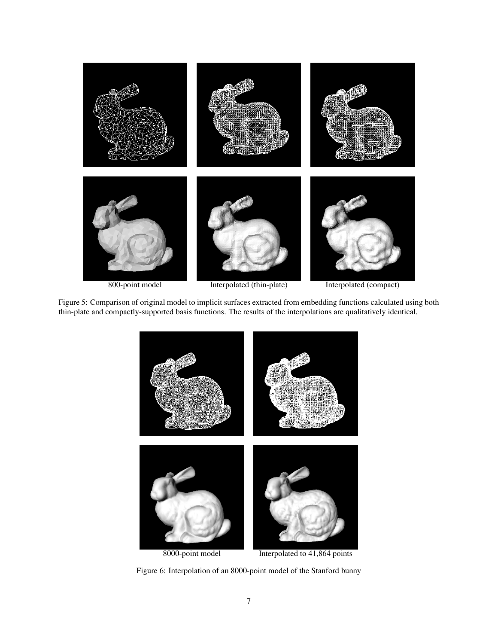

Figure 5: Comparison of original model to implicit surfaces extracted from embedding functions calculated using both thin-plate and compactly-supported basis functions. The results of the interpolations are qualitatively identical.



Figure 6: Interpolation of an 8000-point model of the Stanford bunny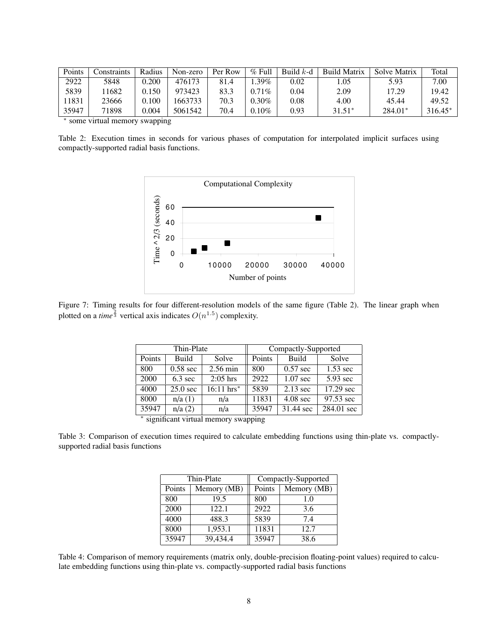| Points | constraints. | Radius | Non-zero | Per Row | $\%$ Full | Build $k$ -d | <b>Build Matrix</b> | Solve Matrix | Total   |
|--------|--------------|--------|----------|---------|-----------|--------------|---------------------|--------------|---------|
| 2922   | 5848         | 0.200  | 476173   | 81.4    | .39%      | 0.02         | .05                 | 5.93         | 7.00    |
| 5839   | 1682         | 0.150  | 973423   | 83.3    | $0.71\%$  | 0.04         | 2.09                | 17.29        | 19.42   |
| 11831  | 23666        | 0.100  | 1663733  | 70.3    | $0.30\%$  | 0.08         | 4.00                | 45.44        | 49.52   |
| 35947  | 71898        | 0.004  | 5061542  | 70.4    | $0.10\%$  | 0.93         | $31.51*$            | $284.01*$    | 316.45* |

∗ some virtual memory swapping

Table 2: Execution times in seconds for various phases of computation for interpolated implicit surfaces using compactly-supported radial basis functions.



Figure 7: Timing results for four different-resolution models of the same figure (Table 2). The linear graph when plotted on a *time*  $\frac{2}{3}$  vertical axis indicates  $O(n^{1.5})$  complexity.

|                                         | Thin-Plate         |                       | Compactly-Supported |                    |            |  |
|-----------------------------------------|--------------------|-----------------------|---------------------|--------------------|------------|--|
| Points                                  | Build              | Solve                 | Points              | Build              | Solve      |  |
| 800                                     | $0.58 \text{ sec}$ | 2.56 min              | 800                 | $0.57$ sec         | $1.53$ sec |  |
| 2000                                    | $6.3 \text{ sec}$  | $2:05$ hrs            | 2922                | $1.07 \text{ sec}$ | 5.93 sec   |  |
| 4000                                    | $25.0$ sec         | $16:11 \text{ hrs}^*$ | 5839                | $2.13 \text{ sec}$ | 17.29 sec  |  |
| 8000                                    | n/a(1)             | n/a                   | 11831               | $4.08 \text{ sec}$ | 97.53 sec  |  |
| 35947                                   | n/a(2)             | n/a                   | 35947               | 31.44 sec          | 284.01 sec |  |
| $*$ significant virtual memory swapping |                    |                       |                     |                    |            |  |

significant virtual memory swapping

Table 3: Comparison of execution times required to calculate embedding functions using thin-plate vs. compactlysupported radial basis functions

|        | Thin-Plate  | Compactly-Supported |             |  |
|--------|-------------|---------------------|-------------|--|
| Points | Memory (MB) | Points              | Memory (MB) |  |
| 800    | 19.5        | 800                 | 1.0         |  |
| 2000   | 122.1       | 2922                | 3.6         |  |
| 4000   | 488.3       | 5839                | 7.4         |  |
| 8000   | 1,953.1     | 11831               | 12.7        |  |
| 35947  | 39,434.4    | 35947               | 38.6        |  |

Table 4: Comparison of memory requirements (matrix only, double-precision floating-point values) required to calculate embedding functions using thin-plate vs. compactly-supported radial basis functions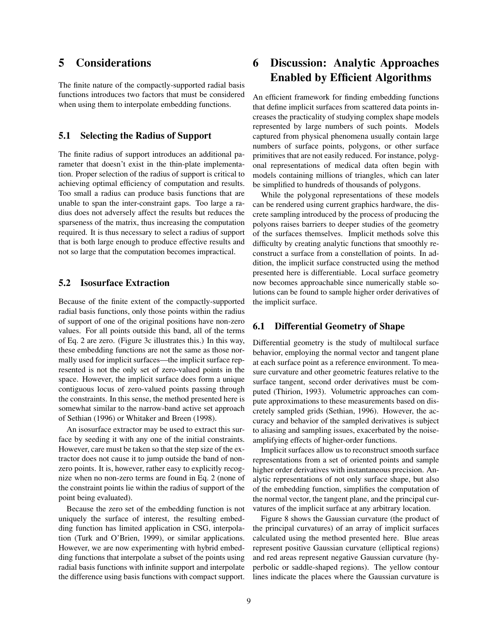### **5 Considerations**

The finite nature of the compactly-supported radial basis functions introduces two factors that must be considered when using them to interpolate embedding functions.

#### **5.1 Selecting the Radius of Support**

The finite radius of support introduces an additional parameter that doesn't exist in the thin-plate implementation. Proper selection of the radius of support is critical to achieving optimal efficiency of computation and results. Too small a radius can produce basis functions that are unable to span the inter-constraint gaps. Too large a radius does not adversely affect the results but reduces the sparseness of the matrix, thus increasing the computation required. It is thus necessary to select a radius of support that is both large enough to produce effective results and not so large that the computation becomes impractical.

### **5.2 Isosurface Extraction**

Because of the finite extent of the compactly-supported radial basis functions, only those points within the radius of support of one of the original positions have non-zero values. For all points outside this band, all of the terms of Eq. 2 are zero. (Figure 3c illustrates this.) In this way, these embedding functions are not the same as those normally used for implicit surfaces—the implicit surface represented is not the only set of zero-valued points in the space. However, the implicit surface does form a unique contiguous locus of zero-valued points passing through the constraints. In this sense, the method presented here is somewhat similar to the narrow-band active set approach of Sethian (1996) or Whitaker and Breen (1998).

An isosurface extractor may be used to extract this surface by seeding it with any one of the initial constraints. However, care must be taken so that the step size of the extractor does not cause it to jump outside the band of nonzero points. It is, however, rather easy to explicitly recognize when no non-zero terms are found in Eq. 2 (none of the constraint points lie within the radius of support of the point being evaluated).

Because the zero set of the embedding function is not uniquely the surface of interest, the resulting embedding function has limited application in CSG, interpolation (Turk and O'Brien, 1999), or similar applications. However, we are now experimenting with hybrid embedding functions that interpolate a subset of the points using radial basis functions with infinite support and interpolate the difference using basis functions with compact support.

## **6 Discussion: Analytic Approaches Enabled by Efficient Algorithms**

An efficient framework for finding embedding functions that define implicit surfaces from scattered data points increases the practicality of studying complex shape models represented by large numbers of such points. Models captured from physical phenomena usually contain large numbers of surface points, polygons, or other surface primitives that are not easily reduced. For instance, polygonal representations of medical data often begin with models containing millions of triangles, which can later be simplified to hundreds of thousands of polygons.

While the polygonal representations of these models can be rendered using current graphics hardware, the discrete sampling introduced by the process of producing the polyons raises barriers to deeper studies of the geometry of the surfaces themselves. Implicit methods solve this difficulty by creating analytic functions that smoothly reconstruct a surface from a constellation of points. In addition, the implicit surface constructed using the method presented here is differentiable. Local surface geometry now becomes approachable since numerically stable solutions can be found to sample higher order derivatives of the implicit surface.

### **6.1 Differential Geometry of Shape**

Differential geometry is the study of multilocal surface behavior, employing the normal vector and tangent plane at each surface point as a reference environment. To measure curvature and other geometric features relative to the surface tangent, second order derivatives must be computed (Thirion, 1993). Volumetric approaches can compute approximations to these measurements based on discretely sampled grids (Sethian, 1996). However, the accuracy and behavior of the sampled derivatives is subject to aliasing and sampling issues, exacerbated by the noiseamplifying effects of higher-order functions.

Implicit surfaces allow us to reconstruct smooth surface representations from a set of oriented points and sample higher order derivatives with instantaneous precision. Analytic representations of not only surface shape, but also of the embedding function, simplifies the computation of the normal vector, the tangent plane, and the principal curvatures of the implicit surface at any arbitrary location.

Figure 8 shows the Gaussian curvature (the product of the principal curvatures) of an array of implicit surfaces calculated using the method presented here. Blue areas represent positive Gaussian curvature (elliptical regions) and red areas represent negative Gaussian curvature (hyperbolic or saddle-shaped regions). The yellow contour lines indicate the places where the Gaussian curvature is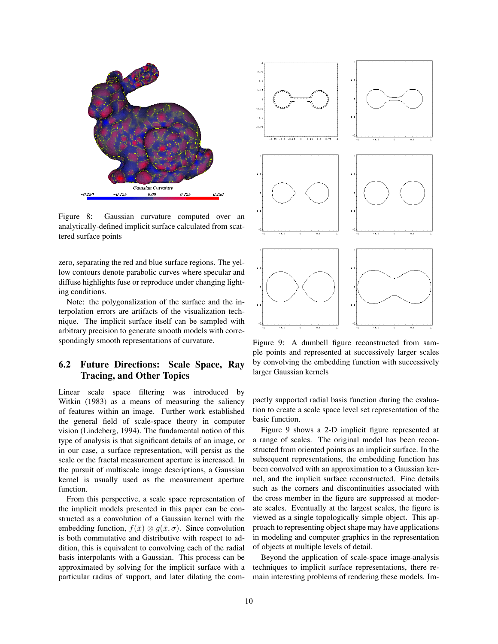

Figure 8: Gaussian curvature computed over an analytically-defined implicit surface calculated from scattered surface points

zero, separating the red and blue surface regions. The yellow contours denote parabolic curves where specular and diffuse highlights fuse or reproduce under changing lighting conditions.

Note: the polygonalization of the surface and the interpolation errors are artifacts of the visualization technique. The implicit surface itself can be sampled with arbitrary precision to generate smooth models with correspondingly smooth representations of curvature.

### **6.2 Future Directions: Scale Space, Ray Tracing, and Other Topics**

Linear scale space filtering was introduced by Witkin (1983) as a means of measuring the saliency of features within an image. Further work established the general field of scale-space theory in computer vision (Lindeberg, 1994). The fundamental notion of this type of analysis is that significant details of an image, or in our case, a surface representation, will persist as the scale or the fractal measurement aperture is increased. In the pursuit of multiscale image descriptions, a Gaussian kernel is usually used as the measurement aperture function.

From this perspective, a scale space representation of the implicit models presented in this paper can be constructed as a convolution of a Gaussian kernel with the embedding function,  $f(\bar{x}) \otimes g(\bar{x}, \sigma)$ . Since convolution is both commutative and distributive with respect to addition, this is equivalent to convolving each of the radial basis interpolants with a Gaussian. This process can be approximated by solving for the implicit surface with a particular radius of support, and later dilating the com-



Figure 9: A dumbell figure reconstructed from sample points and represented at successively larger scales by convolving the embedding function with successively larger Gaussian kernels

pactly supported radial basis function during the evaluation to create a scale space level set representation of the basic function.

Figure 9 shows a 2-D implicit figure represented at a range of scales. The original model has been reconstructed from oriented points as an implicit surface. In the subsequent representations, the embedding function has been convolved with an approximation to a Gaussian kernel, and the implicit surface reconstructed. Fine details such as the corners and discontinuities associated with the cross member in the figure are suppressed at moderate scales. Eventually at the largest scales, the figure is viewed as a single topologically simple object. This approach to representing object shape may have applications in modeling and computer graphics in the representation of objects at multiple levels of detail.

Beyond the application of scale-space image-analysis techniques to implicit surface representations, there remain interesting problems of rendering these models. Im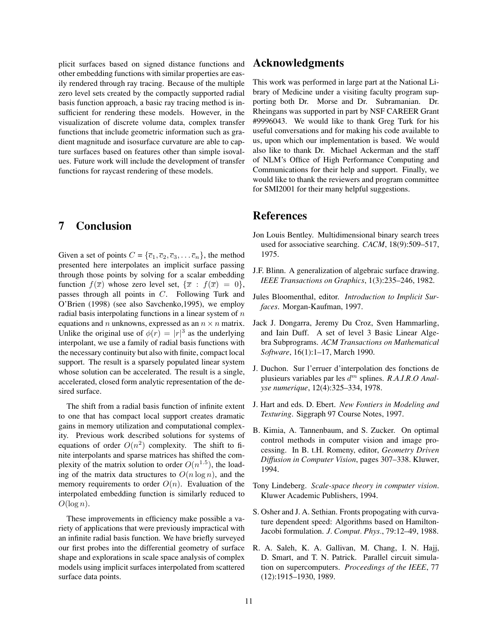plicit surfaces based on signed distance functions and other embedding functions with similar properties are easily rendered through ray tracing. Because of the multiple zero level sets created by the compactly supported radial basis function approach, a basic ray tracing method is insufficient for rendering these models. However, in the visualization of discrete volume data, complex transfer functions that include geometric information such as gradient magnitude and isosurface curvature are able to capture surfaces based on features other than simple isovalues. Future work will include the development of transfer functions for raycast rendering of these models.

### **7 Conclusion**

Given a set of points  $C = {\overline{c_1, c_2, c_3, \ldots c_n}}$ , the method presented here interpolates an implicit surface passing through those points by solving for a scalar embedding function  $f(\overline{x})$  whose zero level set,  $\{\overline{x} : f(\overline{x})=0\},\$ passes through all points in C. Following Turk and O'Brien (1998) (see also Savchenko,1995), we employ radial basis interpolating functions in a linear system of  $n$ equations and *n* unknowns, expressed as an  $n \times n$  matrix. Unlike the original use of  $\phi(r) = |r|^3$  as the underlying interpolant, we use a family of radial basis functions with the necessary continuity but also with finite, compact local support. The result is a sparsely populated linear system whose solution can be accelerated. The result is a single, accelerated, closed form analytic representation of the desired surface.

The shift from a radial basis function of infinite extent to one that has compact local support creates dramatic gains in memory utilization and computational complexity. Previous work described solutions for systems of equations of order  $O(n^2)$  complexity. The shift to finite interpolants and sparse matrices has shifted the complexity of the matrix solution to order  $O(n^{1.5})$ , the loading of the matrix data structures to  $O(n \log n)$ , and the memory requirements to order  $O(n)$ . Evaluation of the interpolated embedding function is similarly reduced to  $O(\log n)$ .

These improvements in efficiency make possible a variety of applications that were previously impractical with an infinite radial basis function. We have briefly surveyed our first probes into the differential geometry of surface shape and explorations in scale space analysis of complex models using implicit surfaces interpolated from scattered surface data points.

### **Acknowledgments**

This work was performed in large part at the National Library of Medicine under a visiting faculty program supporting both Dr. Morse and Dr. Subramanian. Dr. Rheingans was supported in part by NSF CAREER Grant #9996043. We would like to thank Greg Turk for his useful conversations and for making his code available to us, upon which our implementation is based. We would also like to thank Dr. Michael Ackerman and the staff of NLM's Office of High Performance Computing and Communications for their help and support. Finally, we would like to thank the reviewers and program committee for SMI2001 for their many helpful suggestions.

### **References**

- Jon Louis Bentley. Multidimensional binary search trees used for associative searching. *CACM*, 18(9):509–517, 1975.
- J.F. Blinn. A generalization of algebraic surface drawing. *IEEE Transactions on Graphics*, 1(3):235–246, 1982.
- Jules Bloomenthal, editor. *Introduction to Implicit Surfaces*. Morgan-Kaufman, 1997.
- Jack J. Dongarra, Jeremy Du Croz, Sven Hammarling, and Iain Duff. A set of level 3 Basic Linear Algebra Subprograms. *ACM Transactions on Mathematical Software*, 16(1):1–17, March 1990.
- J. Duchon. Sur l'erruer d'interpolation des fonctions de plusieurs variables par les d<sup>m</sup> splines. *R.A.I.R.O Analyse numerique*, 12(4):325–334, 1978.
- J. Hart and eds. D. Ebert. *New Fontiers in Modeling and Texturing*. Siggraph 97 Course Notes, 1997.
- B. Kimia, A. Tannenbaum, and S. Zucker. On optimal control methods in computer vision and image processing. In B. t.H. Romeny, editor, *Geometry Driven Diffusion in Computer Vision*, pages 307–338. Kluwer, 1994.
- Tony Lindeberg. *Scale-space theory in computer vision*. Kluwer Academic Publishers, 1994.
- S. Osher and J. A. Sethian. Fronts propogating with curvature dependent speed: Algorithms based on Hamilton-Jacobi formulation. *J. Comput. Phys.*, 79:12–49, 1988.
- R. A. Saleh, K. A. Gallivan, M. Chang, I. N. Hajj, D. Smart, and T. N. Patrick. Parallel circuit simulation on supercomputers. *Proceedings of the IEEE*, 77 (12):1915–1930, 1989.